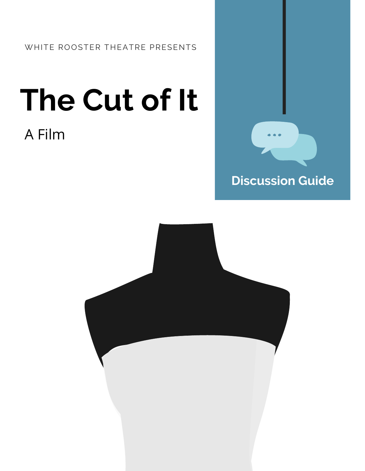# **The Cut of It**

### A Film



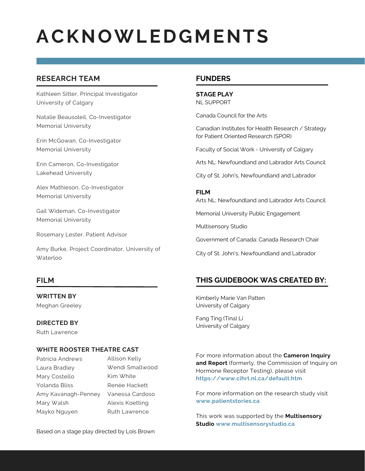### **ACKNOWLEDGMENTS**

### **RESEARCH TEAM**

Kathleen Sitter, Principal Investigator University of Calgary

Natalie Beausoleil, Co-Investigator Memorial University

Erin McGowan, Co-Investigator Memorial University

Erin Cameron, Co-Investigator Lakehead University

Alex Mathieson, Co-Investigator Memorial University

Gail Wideman, Co-Investigator Memorial University

Rosemary Lester, Patient Advisor

Amy Burke, Project Coordinator, University of Waterloo

### **FILM**

**WRITTEN BY** Meghan Greeley

### **DIRECTED BY**

Ruth Lawrence

### **WHITE ROOSTER THEATRE CAST**

Patricia Andrews Laura Bradley Mary Costello Yolanda Bliss Amy Kavanagh-Penney Mary Walsh Mayko Nguyen

Allison Kelly Wendi Smallwood Kim White Renée Hackett Vanessa Cardoso Alexis Koetting Ruth Lawrence

Based on a stage play directed by Lois Brown

### **FUNDERS**

**STAGE PLAY** NL SUPPORT

Canada Council for the Arts

Canadian Institutes for Health Research / Strategy for Patient Oriented Research (SPOR)

Faculty of Social Work - University of Calgary

Arts NL: Newfoundland and Labrador Arts Council

City of St. John's, Newfoundland and Labrador

### **FILM**

Arts NL: Newfoundland and Labrador Arts Council

Memorial University Public Engagement

Multisensory Studio

Government of Canada: Canada Research Chair

City of St. John's, Newfoundland and Labrador

### **THIS GUIDEBOOK WAS CREATED BY:**

Kimberly Marie Van Patten University of Calgary

Fang Ting (Tina) Li University of Calgary

For more information about the **Cameron Inquiry and Report** (formerly, the Commission of Inquiry on Hormone Receptor Testing), please visit **https://www.cihrt.nl.ca/default.htm**

For more information on the research study visit **www.patientstories.ca**

This work was supported by the **Multisensory Studio www.multisensorystudio.ca**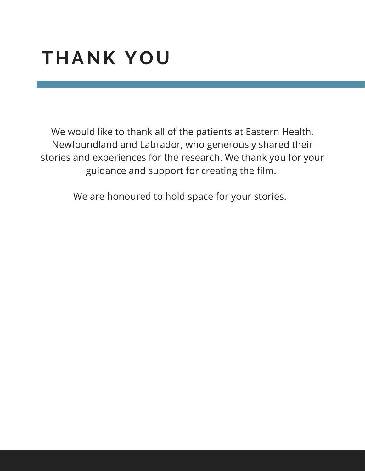### **THANK YOU**

We would like to thank all of the patients at Eastern Health, Newfoundland and Labrador, who generously shared their stories and experiences for the research. We thank you for your guidance and support for creating the film.

We are honoured to hold space for your stories.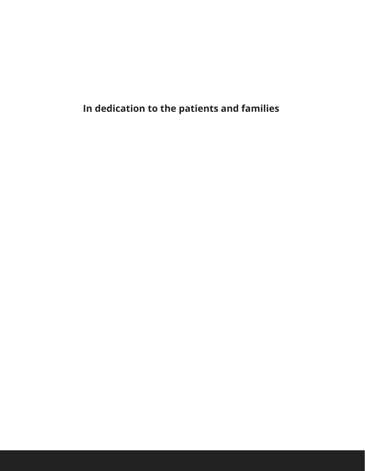**In dedication to the patients and families**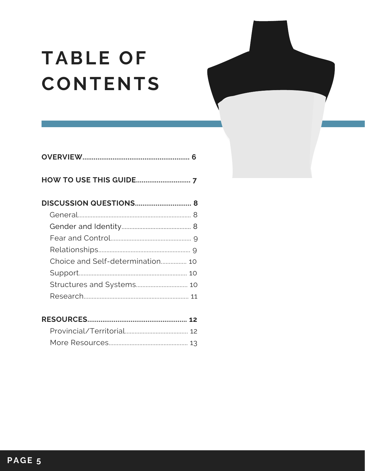# **TABLE OF CONTENTS**

| Choice and Self-determination 10 |
|----------------------------------|
|                                  |
|                                  |
|                                  |
|                                  |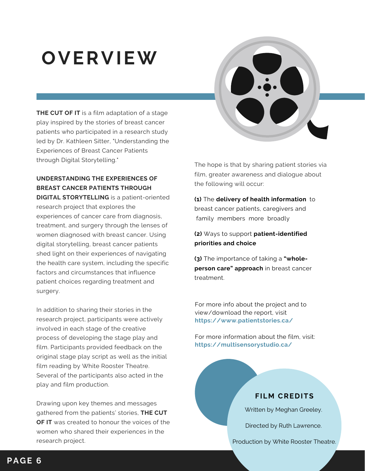### **OVERVIEW**

**THE CUT OF IT** is a film adaptation of a stage play inspired by the stories of breast cancer patients who participated in a research study led by Dr. Kathleen Sitter, "Understanding the Experiences of Breast Cancer Patients through Digital Storytelling."

### **UNDERSTANDING THE EXPERIENCES OF BREAST CANCER PATIENTS THROUGH**

**DIGITAL STORYTELLING** is a patient-oriented research project that explores the experiences of cancer care from diagnosis, treatment, and surgery through the lenses of women diagnosed with breast cancer. Using digital storytelling, breast cancer patients shed light on their experiences of navigating the health care system, including the specific factors and circumstances that influence patient choices regarding treatment and surgery.

In addition to sharing their stories in the research project, participants were actively involved in each stage of the creative process of developing the stage play and film. Participants provided feedback on the original stage play script as well as the initial film reading by White Rooster Theatre. Several of the participants also acted in the play and film production.

Drawing upon key themes and messages gathered from the patients' stories, **THE CUT OF IT** was created to honour the voices of the women who shared their experiences in the research project.

The hope is that by sharing patient stories via film, greater awareness and dialogue about the following will occur:

**(1)** The **delivery of health information** to breast cancer patients, caregivers and family members more broadly

### **(2)** Ways to support **patient-identified priorities and choice**

**(3)** The importance of taking a **"wholeperson care" approach** in breast cancer treatment.

For more info about the project and to view/download the report, visit **<https://www.patientstories.ca/>**

For more information about the film, visit: **<https://multisensorystudio.ca/>**

### **FILM CREDITS**

Written by Meghan Greeley.

Directed by Ruth Lawrence.

Production by White Rooster Theatre.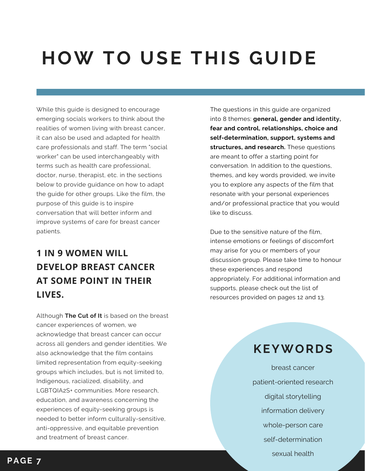### **HOW TO USE THIS GUIDE**

While this guide is designed to encourage emerging socials workers to think about the realities of women living with breast cancer, it can also be used and adapted for health care professionals and staff. The term "social worker" can be used interchangeably with terms such as health care professional, doctor, nurse, therapist, etc. in the sections below to provide guidance on how to adapt the guide for other groups. Like the film, the purpose of this guide is to inspire conversation that will better inform and improve systems of care for breast cancer patients.

### **1 IN 9 WOMEN WILL DEVELOP BREAST CANCER AT SOME POINT IN THEIR LIVES.**

Although **The Cut of It** is based on the breast cancer experiences of women, we acknowledge that breast cancer can occur across all genders and gender identities. We also acknowledge that the film contains limited representation from equity-seeking groups which includes, but is not limited to, Indigenous, racialized, disability, and LGBTQIA2S+ communities. More research, education, and awareness concerning the experiences of equity-seeking groups is needed to better inform culturally-sensitive, anti-oppressive, and equitable prevention and treatment of breast cancer.

The questions in this guide are organized into 8 themes: **general, gender and identity, fear and control, relationships, choice and self-determination, support, systems and structures, and research.** These questions are meant to offer a starting point for conversation. In addition to the questions, themes, and key words provided, we invite you to explore any aspects of the film that resonate with your personal experiences and/or professional practice that you would like to discuss.

Due to the sensitive nature of the film, intense emotions or feelings of discomfort may arise for you or members of your discussion group. Please take time to honour these experiences and respond appropriately. For additional information and supports, please check out the list of resources provided on pages 12 and 13.

### **KEYWORDS**

breast cancer patient-oriented research digital storytelling information delivery whole-person care self-determination sexual health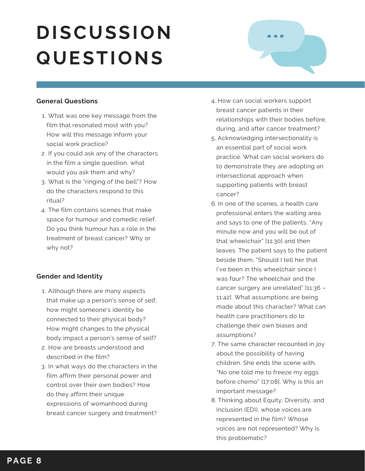

### **General Questions**

- What was one key message from the 1. film that resonated most with you? How will this message inform your social work practice?
- 2. If you could ask any of the characters in the film a single question, what would you ask them and why?
- What is the "ringing of the bell"? How 3. do the characters respond to this ritual?
- The film contains scenes that make 4. space for humour and comedic relief. Do you think humour has a role in the treatment of breast cancer? Why or why not?

### **Gender and Identity**

- Although there are many aspects 1. that make up a person's sense of self, how might someone's identity be connected to their physical body? How might changes to the physical body impact a person's sense of self?
- 2. How are breasts understood and described in the film?
- 3. In what ways do the characters in the film affirm their personal power and control over their own bodies? How do they affirm their unique expressions of womanhood during breast cancer surgery and treatment?
- 4. How can social workers support breast cancer patients in their relationships with their bodies before, during, and after cancer treatment?
- 5. Acknowledging intersectionality is an essential part of social work practice. What can social workers do to demonstrate they are adopting an intersectional approach when supporting patients with breast cancer?
- 6. In one of the scenes, a health care professional enters the waiting area and says to one of the patients, "Any minute now and you will be out of that wheelchair" [11:30] and then leaves. The patient says to the patient beside them, "Should I tell her that I've been in this wheelchair since I was four? The wheelchair and the cancer surgery are unrelated" [11:36 – 11:42]. What assumptions are being made about this character? What can health care practitioners do to challenge their own biases and assumptions?
- 7. The same character recounted in joy about the possibility of having children. She ends the scene with, "No one told me to freeze my eggs before chemo" [17:08]. Why is this an important message?
- 8. Thinking about Equity, Diversity, and Inclusion (EDI), whose voices are represented in the film? Whose voices are not represented? Why is this problematic?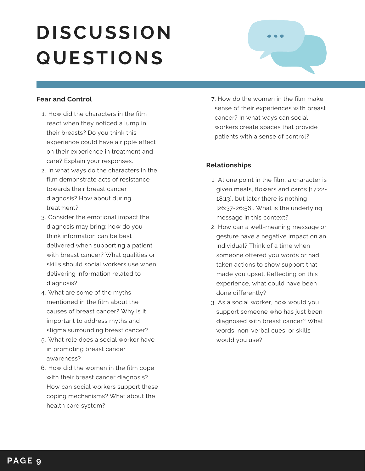

### **Fear and Control**

- 1. How did the characters in the film react when they noticed a lump in their breasts? Do you think this experience could have a ripple effect on their experience in treatment and care? Explain your responses.
- 2. In what ways do the characters in the film demonstrate acts of resistance towards their breast cancer diagnosis? How about during treatment?
- 3. Consider the emotional impact the diagnosis may bring; how do you think information can be best delivered when supporting a patient with breast cancer? What qualities or skills should social workers use when delivering information related to diagnosis?
- What are some of the myths 4. mentioned in the film about the causes of breast cancer? Why is it important to address myths and stigma surrounding breast cancer?
- What role does a social worker have 5. in promoting breast cancer awareness?
- 6. How did the women in the film cope with their breast cancer diagnosis? How can social workers support these coping mechanisms? What about the health care system?

7. How do the women in the film make sense of their experiences with breast cancer? In what ways can social workers create spaces that provide patients with a sense of control?

### **Relationships**

- At one point in the film, a character is 1. given meals, flowers and cards [17:22- 18:13], but later there is nothing [26:37-26:56]. What is the underlying message in this context?
- 2. How can a well-meaning message or gesture have a negative impact on an individual? Think of a time when someone offered you words or had taken actions to show support that made you upset. Reflecting on this experience, what could have been done differently?
- 3. As a social worker, how would you support someone who has just been diagnosed with breast cancer? What words, non-verbal cues, or skills would you use?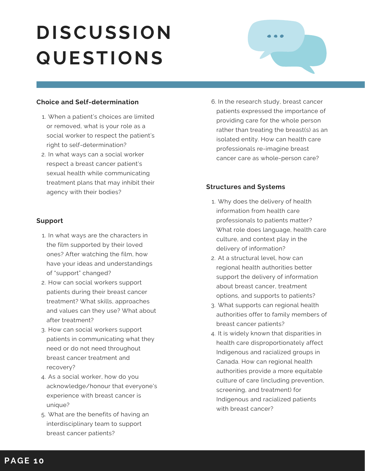

### **Choice and Self-determination**

- When a patient's choices are limited 1. or removed, what is your role as a social worker to respect the patient's right to self-determination?
- 2. In what ways can a social worker respect a breast cancer patient's sexual health while communicating treatment plans that may inhibit their agency with their bodies?

### **Support**

- 1. In what ways are the characters in the film supported by their loved ones? After watching the film, how have your ideas and understandings of "support" changed?
- 2. How can social workers support patients during their breast cancer treatment? What skills, approaches and values can they use? What about after treatment?
- 3. How can social workers support patients in communicating what they need or do not need throughout breast cancer treatment and recovery?
- As a social worker, how do you 4. acknowledge/honour that everyone's experience with breast cancer is unique?
- What are the benefits of having an 5. interdisciplinary team to support breast cancer patients?

6. In the research study, breast cancer patients expressed the importance of providing care for the whole person rather than treating the breast(s) as an isolated entity. How can health care professionals re-imagine breast cancer care as whole-person care?

### **Structures and Systems**

- Why does the delivery of health 1. information from health care professionals to patients matter? What role does language, health care culture, and context play in the delivery of information?
- At a structural level, how can 2. regional health authorities better support the delivery of information about breast cancer, treatment options, and supports to patients?
- What supports can regional health 3. authorities offer to family members of breast cancer patients?
- 4. It is widely known that disparities in health care disproportionately affect Indigenous and racialized groups in Canada. How can regional health authorities provide a more equitable culture of care (including prevention, screening, and treatment) for Indigenous and racialized patients with breast cancer?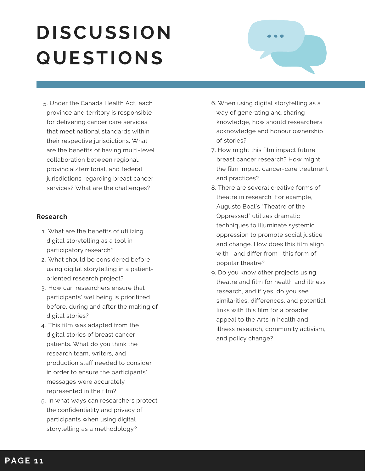

5. Under the Canada Health Act, each province and territory is responsible for delivering cancer care services that meet national standards within their respective jurisdictions. What are the benefits of having multi-level collaboration between regional, provincial/territorial, and federal jurisdictions regarding breast cancer services? What are the challenges?

### **Research**

- What are the benefits of utilizing 1. digital storytelling as a tool in participatory research?
- What should be considered before 2. using digital storytelling in a patientoriented research project?
- 3. How can researchers ensure that participants' wellbeing is prioritized before, during and after the making of digital stories?
- This film was adapted from the 4. digital stories of breast cancer patients. What do you think the research team, writers, and production staff needed to consider in order to ensure the participants' messages were accurately represented in the film?
- 5. In what ways can researchers protect the confidentiality and privacy of participants when using digital storytelling as a methodology?
- 6. When using digital storytelling as a way of generating and sharing knowledge, how should researchers acknowledge and honour ownership of stories?
- 7. How might this film impact future breast cancer research? How might the film impact cancer-care treatment and practices?
- 8. There are several creative forms of theatre in research. For example, Augusto Boal's "Theatre of the Oppressed" utilizes dramatic techniques to illuminate systemic oppression to promote social justice and change. How does this film align with– and differ from– this form of popular theatre?
- 9. Do you know other projects using theatre and film for health and illness research, and if yes, do you see similarities, differences, and potential links with this film for a broader appeal to the Arts in health and illness research, community activism, and policy change?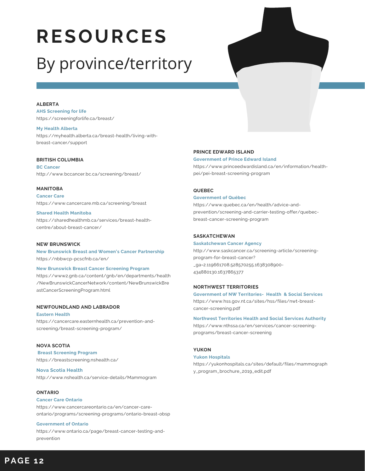# **RESOURCES**

### By province/territory

### **ALBERTA**

**AHS Screening for life** <https://screeningforlife.ca/breast/>

#### **My Health Alberta**

[https://myhealth.alberta.ca/breast-health/living-with](https://myhealth.alberta.ca/breast-health/living-with-breast-cancer/support) breast-cancer/support

### **BRITISH COLUMBIA**

**BC Cancer** <http://www.bccancer.bc.ca/screening/breast/>

### **MANITOBA**

**Cancer Care** <https://www.cancercare.mb.ca/screening/breast>

**Shared Health Manitoba** [https://sharedhealthmb.ca/services/breast-health](https://sharedhealthmb.ca/services/breast-health-centre/about-breast-cancer/) centre/about-breast-cancer/

### **NEW BRUNSWICK**

**New Brunswick Breast and Women's Cancer Partnership** <https://nbbwcp-pcscfnb.ca/en/>

#### **New Brunswick Breast Cancer Screening Program**

[https://www2.gnb.ca/content/gnb/en/departments/health](https://www2.gnb.ca/content/gnb/en/departments/health/NewBrunswickCancerNetwork/content/NewBrunswickBreastCancerScreeningProgram.html) /NewBrunswickCancerNetwork/content/NewBrunswickBre astCancerScreeningProgram.html

### **NEWFOUNDLAND AND LABRADOR**

**Eastern Health** [https://cancercare.easternhealth.ca/prevention-and](https://cancercare.easternhealth.ca/prevention-and-screening/breast-screening-program/)screening/breast-screening-program/

#### **NOVA SCOTIA**

**Breast Screening Program** <https://breastscreening.nshealth.ca/>

### **Nova Scotia Health**

<http://www.nshealth.ca/service-details/Mammogram>

#### **ONTARIO**

#### **[Canc](https://www.cancercareontario.ca/en)er Care [Ontario](https://www.cancercareontario.ca/en)**

https://www.cancercareontario.ca/en/cancer-care [ontario/programs/screening-programs/ontario-breast-obsp](https://www.cancercareontario.ca/en/cancer-care-ontario/programs/screening-programs/ontario-breast-obsp)

#### **Government of Ontario**

[https://www.ontario.ca/page/breast-cancer-testing-and](https://www.ontario.ca/page/breast-cancer-testing-and-prevention) prevention

### **PRINCE EDWARD ISLAND**

#### **[Gover](https://www.princeedwardisland.ca/en)nment of Prince [Edward](https://www.princeedwardisland.ca/en) Island**

[https://www.princeedwardisland.ca/en/information/health](https://www.princeedwardisland.ca/en/information/health-pei/pei-breast-screening-program) pei/pei-breast-screening-program

### **QUEBEC**

#### **Government of Québec**

https://www.quebec.ca/en/health/advice-and [prevention/screening-and-carrier-testing-offer/quebec](https://www.quebec.ca/en/health/advice-and-prevention/screening-and-carrier-testing-offer/quebec-breast-cancer-screening-program) breast-cancer-screening-program

#### **SASKATCHEWAN**

**Saskatchewan Cancer Agency** [http://www.saskcancer.ca/screening-article/screening](http://www.saskcancer.ca/screening-article/screening-program-for-breast-cancer?_ga=2.119661708.528570255.1638308900-434880130.1637865377) program-for-breast-cancer? \_ga=2.119661708.528570255.1638308900- 434880130.1637865377

#### **NORTHWEST TERRITORIES**

**Government of NW Territories- Health & Social Services** [https://www.hss.gov.nt.ca/sites/hss/files/nwt-breast](https://www.hss.gov.nt.ca/sites/hss/files/nwt-breast-cancer-screening.pdf) cancer-screening.pdf

**Northwest Territories Health and Social Services Authority** [https://www.nthssa.ca/en/services/cancer-screening](https://www.nthssa.ca/en/services/cancer-screening-programs/breast-cancer-screening) programs/breast-cancer-screening

### **YUKON**

#### **Yukon Hospitals**

[https://yukonhospitals.ca/sites/default/files/mammograph](https://yukonhospitals.ca/sites/default/files/mammography_program_brochure_2019_edit.pdf) y\_program\_brochure\_2019\_edit.pdf